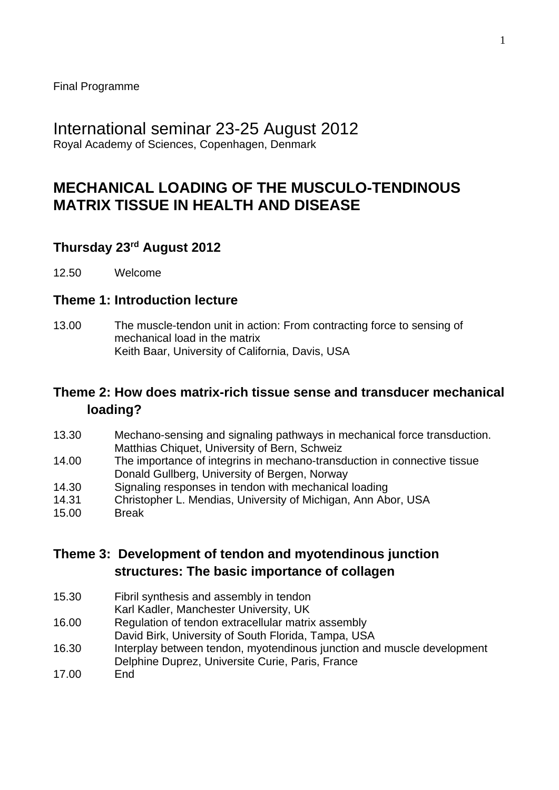Final Programme

# International seminar 23-25 August 2012

Royal Academy of Sciences, Copenhagen, Denmark

# **MECHANICAL LOADING OF THE MUSCULO-TENDINOUS MATRIX TISSUE IN HEALTH AND DISEASE**

## **Thursday 23rd August 2012**

12.50 Welcome

#### **Theme 1: Introduction lecture**

13.00 The muscle-tendon unit in action: From contracting force to sensing of mechanical load in the matrix Keith Baar, University of California, Davis, USA

#### **Theme 2: How does matrix-rich tissue sense and transducer mechanical loading?**

- 13.30 Mechano-sensing and signaling pathways in mechanical force transduction. Matthias Chiquet, University of Bern, Schweiz
- 14.00 The importance of integrins in mechano-transduction in connective tissue Donald Gullberg, University of Bergen, Norway
- 14.30 Signaling responses in tendon with mechanical loading
- 14.31 Christopher L. Mendias, University of Michigan, Ann Abor, USA
- 15.00 Break

**Theme 3: Development of tendon and myotendinous junction structures: The basic importance of collagen**

- 15.30 Fibril synthesis and assembly in tendon
- Karl Kadler, Manchester University, UK
- 16.00 Regulation of tendon extracellular matrix assembly David Birk, University of South Florida, Tampa, USA
- 16.30 Interplay between tendon, myotendinous junction and muscle development Delphine Duprez, Universite Curie, Paris, France
- 17.00 End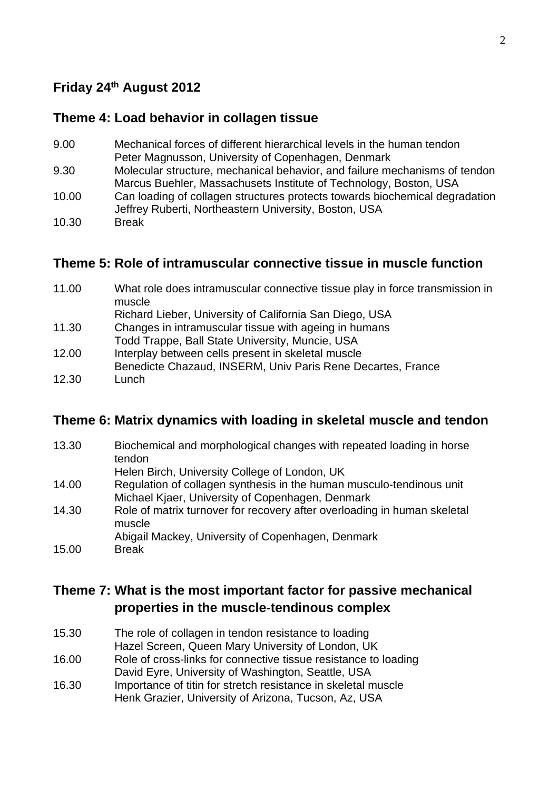## **Friday 24th August 2012**

#### **Theme 4: Load behavior in collagen tissue**

- 9.00 Mechanical forces of different hierarchical levels in the human tendon Peter Magnusson, University of Copenhagen, Denmark
- 9.30 Molecular structure, mechanical behavior, and failure mechanisms of tendon Marcus Buehler, Massachusets Institute of Technology, Boston, USA
- 10.00 Can loading of collagen structures protects towards biochemical degradation Jeffrey Ruberti, Northeastern University, Boston, USA
- 10.30 Break

### **Theme 5: Role of intramuscular connective tissue in muscle function**

| 11.00 | What role does intramuscular connective tissue play in force transmission in<br>muscle |
|-------|----------------------------------------------------------------------------------------|
|       | Richard Lieber, University of California San Diego, USA                                |
| 11.30 | Changes in intramuscular tissue with ageing in humans                                  |
|       | Todd Trappe, Ball State University, Muncie, USA                                        |
| 12.00 | Interplay between cells present in skeletal muscle                                     |
|       | Benedicte Chazaud, INSERM, Univ Paris Rene Decartes, France                            |
| 12.30 | Lunch                                                                                  |

#### **Theme 6: Matrix dynamics with loading in skeletal muscle and tendon**

| 13.30 | Biochemical and morphological changes with repeated loading in horse<br>tendon     |
|-------|------------------------------------------------------------------------------------|
|       | Helen Birch, University College of London, UK                                      |
| 14.00 | Regulation of collagen synthesis in the human musculo-tendinous unit               |
|       | Michael Kjaer, University of Copenhagen, Denmark                                   |
| 14.30 | Role of matrix turnover for recovery after overloading in human skeletal<br>muscle |
|       | Abigail Mackey, University of Copenhagen, Denmark                                  |
| 15.00 | <b>Break</b>                                                                       |

## **Theme 7: What is the most important factor for passive mechanical properties in the muscle-tendinous complex**

- 15.30 The role of collagen in tendon resistance to loading Hazel Screen, Queen Mary University of London, UK
- 16.00 Role of cross-links for connective tissue resistance to loading David Eyre, University of Washington, Seattle, USA
- 16.30 Importance of titin for stretch resistance in skeletal muscle Henk Grazier, University of Arizona, Tucson, Az, USA